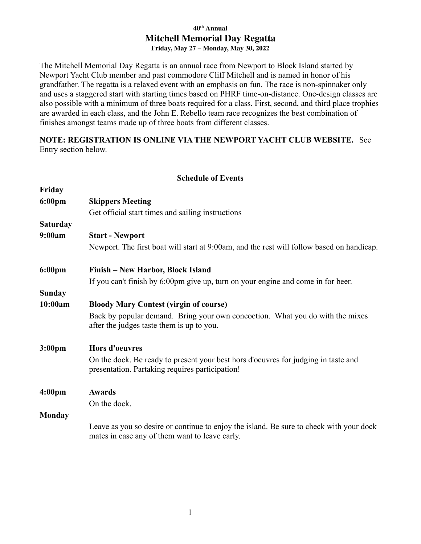## **40 th Annual Mitchell Memorial Day Regatta Friday, May 27 – Monday, May 30, 2022**

The Mitchell Memorial Day Regatta is an annual race from Newport to Block Island started by Newport Yacht Club member and past commodore Cliff Mitchell and is named in honor of his grandfather. The regatta is a relaxed event with an emphasis on fun. The race is non-spinnaker only and uses a staggered start with starting times based on PHRF time-on-distance. One-design classes are also possible with a minimum of three boats required for a class. First, second, and third place trophies are awarded in each class, and the John E. Rebello team race recognizes the best combination of finishes amongst teams made up of three boats from different classes.

**NOTE: REGISTRATION IS ONLINE VIA THE NEWPORT YACHT CLUB WEBSITE.** See Entry section below.

## **Schedule of Events**

| Friday             |                                                                                                                                           |
|--------------------|-------------------------------------------------------------------------------------------------------------------------------------------|
| $6:00 \text{pm}$   | <b>Skippers Meeting</b>                                                                                                                   |
|                    | Get official start times and sailing instructions                                                                                         |
| <b>Saturday</b>    |                                                                                                                                           |
| 9:00am             | <b>Start - Newport</b>                                                                                                                    |
|                    | Newport. The first boat will start at 9:00am, and the rest will follow based on handicap.                                                 |
| $6:00 \text{pm}$   | Finish – New Harbor, Block Island                                                                                                         |
|                    | If you can't finish by 6:00pm give up, turn on your engine and come in for beer.                                                          |
| <b>Sunday</b>      |                                                                                                                                           |
| 10:00am            | <b>Bloody Mary Contest (virgin of course)</b>                                                                                             |
|                    | Back by popular demand. Bring your own concoction. What you do with the mixes<br>after the judges taste them is up to you.                |
| 3:00 <sub>pm</sub> | <b>Hors d'oeuvres</b>                                                                                                                     |
|                    | On the dock. Be ready to present your best hors d'oeuvres for judging in taste and<br>presentation. Partaking requires participation!     |
| 4:00 <sub>pm</sub> | <b>Awards</b>                                                                                                                             |
|                    | On the dock.                                                                                                                              |
| <b>Monday</b>      |                                                                                                                                           |
|                    | Leave as you so desire or continue to enjoy the island. Be sure to check with your dock<br>mates in case any of them want to leave early. |